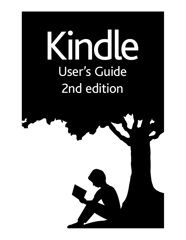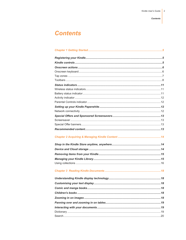# **Contents**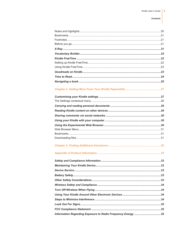#### **Contents**

| Information Regarding Exposure to Radio Frequency Energy 35 |  |
|-------------------------------------------------------------|--|
|                                                             |  |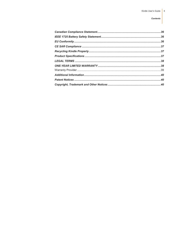#### **Contents**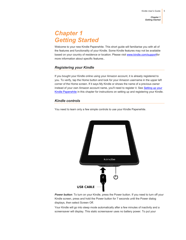# <span id="page-4-0"></span>*Chapter 1 Getting Started*

Welcome to your new Kindle Paperwhite. This short guide will familiarise you with all of the features and functionality of your Kindle. Some Kindle features may not be available based on your country of residence or location. Please visi[t www.kindle.com/supportf](http://www.kindle.com/support)or more information about specific features..

# <span id="page-4-1"></span>*Registering your Kindle*

If you bought your Kindle online using your Amazon account, it is already registered to you. To verify, tap the Home button and look for your Amazon username in the upper left corner of the Home screen. If it says My Kindle or shows the name of a previous owner instead of your own Amazon account name, you'll need to register it. See [Setting up your](#page-11-2)  [Kindle Paperwhite](#page-11-2) in this chapter for instructions on setting up and registering your Kindle.

# <span id="page-4-2"></span>*Kindle controls*

You need to learn only a few simple controls to use your Kindle Paperwhite.



Power button: To turn on your Kindle, press the Power button. If you need to turn off your Kindle screen, press and hold the Power button for 7 seconds until the Power dialog displays, then select Screen Off.

Your Kindle will go into sleep mode automatically after a few minutes of inactivity and a screensaver will display. This static screensaver uses no battery power. To put your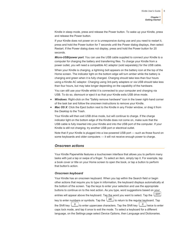Kindle in sleep mode, press and release the Power button. To wake up your Kindle, press and release the Power button.

If your Kindle does not power on or is unresponsive during use and you need to restart it, press and hold the Power button for 7 seconds until the Power dialog displays, then select Restart. If the Power dialog does not display, press and hold the Power button for 20 seconds.

*Micro-USB/power port*: You can use the USB cable supplied to connect your Kindle to a computer for charging the battery and transferring files. To charge your Kindle from a power outlet, you will need a compatible AC adaptor (sold separately) for the USB cable.

When your Kindle is charging, a lightning bolt appears on the battery icon at the top of the Home screen. The indicator light on the bottom edge will turn amber while the battery is charging and green when it is fully charged. Charging should take less than four hours using a Kindle AC adaptor. Charging using 3rd-party adapters or via USB should take less than four hours, but may take longer depending on the capability of the hardware.

You can still use your Kindle whilst it is connected to your computer and charging via USB. To do so, dismount or eject it so that your Kindle exits USB drive mode.

- *Windows*: Right-click on the "Safely remove hardware" icon in the lower right-hand corner of the task bar and follow the onscreen instructions to remove your Kindle.
- *Mac OS X*: Click the Eject button next to the Kindle in any Finder window, or drag it from the Desktop to the Trash.

Your Kindle will then exit USB drive mode, but will continue to charge. If the charge indicator light on the bottom edge of the Kindle does not come on, make sure that the USB cable is fully inserted into your Kindle and into the USB port of the computer. If your Kindle is still not charging, try another USB port or electrical outlet.

Note that if your Kindle is plugged into a low-powered USB port — such as those found on some keyboards and older computers — it will not receive enough power to charge.

#### <span id="page-5-0"></span>*Onscreen actions*

Your Kindle Paperwhite features a touchscreen interface that allows you to perform many tasks with just a tap or swipe of a finger. To select an item, simply tap it. For example, tap a book cover or title on your Home screen to open the book, or tap a button to perform that button's action.

#### <span id="page-5-1"></span>*Onscreen keyboard*

Your Kindle has an onscreen keyboard. When you tap within the Search field or begin other actions that require you to type in information, the keyboard displays automatically at the bottom of the screen. Tap the keys to enter your selection and use the appropriate buttons to continue on to the next action. As you type, word suggestions based on your entries will appear above the keyboard. Tap the word you want to select. Tap the  $\frac{1231?}{2}$ key to enter numbers or symbols. Tap the  $\left\lfloor \frac{\text{ABC}}{\text{ABC}} \right\rfloor$  to return to the regular keyboard. Tap the Shift key to enter uppercase characters. Tap the Shift key twice to enter caps lock mode, and tap it once to exit the mode. To select a keyboard for a different language, on the Settings page select Device Options, then Language and Dictionaries.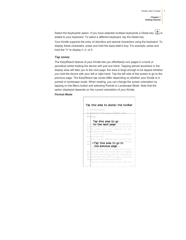Select the Keyboards option. If you have selected multiple keyboards a Globe key  $\Box$  is added to your keyboard. To select a different keyboard, tap the Globe key.

Your Kindle supports the entry of diacritics and special characters using the keyboard. To display these characters, press and hold the base letter's key. For example, press and hold the "n" to display  $\dot{n}$ ,  $\ddot{n}$ , or  $\ddot{n}$ .

#### <span id="page-6-0"></span>*Tap zones*

The EasyReach feature of your Kindle lets you effortlessly turn pages in a book or periodical whilst holding the device with just one hand. Tapping almost anywhere in the display area will take you to the next page; the area is large enough to be tapped whether you hold the device with your left or right hand. Tap the left side of the screen to go to the previous page. The EasyReach tap zones differ depending on whether your Kindle is in portrait or landscape mode. When reading, you can change the screen orientation by tapping on the Menu button and selecting Portrait or Landscape Mode. Note that the option displayed depends on the current orientation of your Kindle.

#### *Portrait Mode*

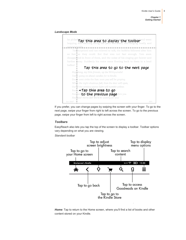#### *Landscape Mode*



If you prefer, you can change pages by swiping the screen with your finger. To go to the next page, swipe your finger from right to left across the screen. To go to the previous page, swipe your finger from left to right across the screen.

#### <span id="page-7-0"></span>*Toolbars*

EasyReach also lets you tap the top of the screen to display a toolbar. Toolbar options vary depending on what you are viewing.

*Standard toolbar*



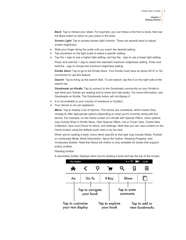**Back**: Tap to retrace your steps. For example, you can follow a link from a book, then tap the Back button to return to your place in the book.

*Screen Light*: Tap to access screen light controls. There are several ways to adjust screen brightness:

- Slide your finger along the scale until you reach the desired setting.
- Tap anywhere on the light scale to select a specific setting.
- Tap the + sign to use a higher light setting, and tap the sign to use a lower light setting.

Press and hold the + sign to select the standard maximum brightness setting. Press and hold the - sign to choose the minimum brightness setting.

*Kindle Store*: Tap to go to the Kindle Store. Your Kindle must have an active Wi-Fi or 3G connection to use this feature.

**Search:** Tap to bring up the search field. To exit search, tap the X on the right side of the search bar.

*Goodreads on Kindle*: Tap to connect to the Goodreads community on your Kindle to see what your friends are reading and to share and rate books. For more information, see Goodreads on Kindle. The Goodreads button will not display if:

- It is not available in your country of residence or location.
- Your device is not yet registered.

*Menu*: Tap to display a list of options. The menus are contextual, which means they change to offer appropriate options depending on what you're currently doing with the device. For example, on the Home screen of a Kindle with Special Offers, menu options may include Shop in Kindle Store, View Special Offers, List or Cover View, Create New Collection, Sync and Check for Items, and Settings. Note that you can view content on the Home screen using the default cover view or by list view.

When you're reading a book, menu items specific to that task may include Notes, Portrait or Landscape Mode, Book Description, About the Author, Reading Progress, and Vocabulary Builder. Note that About the Author is only available for books that support author profiles.

#### *Reading toolbar*



A secondary toolbar displays when you're reading a book and tap the top of the screen.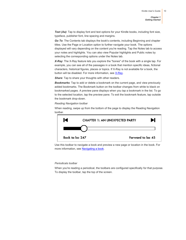**Text (Aa)**: Tap to display font and text options for your Kindle books, including font size, typeface, publisher font, line spacing and margins.

*Go To*: The Contents tab displays the book's contents, including Beginning and chapter titles. Use the Page or Location option to further navigate your book. The options displayed will vary depending on the content you're reading. Tap the Notes tab to access your notes and highlights. You can also view Popular highlights and Public notes by selecting the corresponding options under the Notes tab.

*X-Ray*: The X-Ray feature lets you explore the "bones" of the book with a single tap. For example, you can see all of the passages in a book that mention specific ideas, fictional characters, historical figures, places or topics. If X-Ray is not available for a book, the button will be disabled. For more information, see [X-Ray.](#page-20-3)

**Share:** Tap to share your thoughts with other readers.

*Bookmarks*: Tap to add or delete a bookmark on the current page, and view previously added bookmarks. The Bookmark button on the toolbar changes from white to black on bookmarked pages. A preview pane displays when you tap a bookmark in the list. To go to the selected location, tap the preview pane. To exit the bookmark feature, tap outside the bookmark drop-down.

#### *Reading Navigation toolbar*

When reading, swipe up from the bottom of the page to display the Reading Navigation toolbar.



Use this toolbar to navigate a book and preview a new page or location in the book. For more information, se[e Navigating a book.](#page-24-0)

#### *Periodicals toolbar*

When you're reading a periodical, the toolbars are configured specifically for that purpose. To display the toolbar, tap the top of the screen.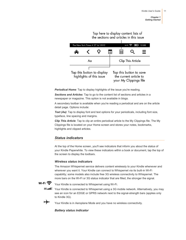Tap here to display content lists of the sections and articles in this issue

| The New York Times . 27 Jul 2012 |                          |  |  | Wi-Fi $\widehat{\mathbb{R}}$ $\Box$ | 12:00                                                                       |  |
|----------------------------------|--------------------------|--|--|-------------------------------------|-----------------------------------------------------------------------------|--|
|                                  |                          |  |  | ≣                                   |                                                                             |  |
|                                  | Aα                       |  |  |                                     | Clip This Article                                                           |  |
| Tap this button to display       | highlights of this issue |  |  |                                     | Tap this button to save<br>the current article to<br>your My Clippings file |  |

*Periodical Home*: Tap to display highlights of the issue you're reading.

*Sections and Articles*: Tap to go to the content list of sections and articles in a newspaper or magazine. This option is not available in blogs.

A secondary toolbar is available when you're reading a periodical and are on the article detail page. Options include:

**Text (Aa)**: Tap to display font and text options for your periodicals, including font size, typeface, line spacing and margins.

*Clip This Article*: Tap to clip an entire periodical article to the My Clippings file. The My Clippings file is located on your Home screen and stores your notes, bookmarks, highlights and clipped articles.

# <span id="page-10-0"></span>*Status indicators*

At the top of the Home screen, you'll see indicators that inform you about the status of your Kindle Paperwhite. To view these indicators within a book or document, tap the top of the screen to display the toolbars.

## *Wireless status indicators*

The Amazon Whispernet service delivers content wirelessly to your Kindle whenever and wherever you want it. Your Kindle can connect to Whispernet via its built-in Wi-Fi capability; some models also include free 3G wireless connectivity to Whispernet. The more bars on the Wi-Fi or 3G status indicator that are filled, the stronger the signal.

<span id="page-10-1"></span>

Your Kindle is connected to Whispernet using Wi-Fi.

**3G III** Your Kindle is connected to Whispernet using a 3G mobile network. Alternatively, you may see an icon for an EDGE or GPRS network next to the signal-strength bars (applies only to Kindle 3G).

<span id="page-10-2"></span>

Your Kindle is in Aeroplane Mode and you have no wireless connectivity.

*Battery status indicator*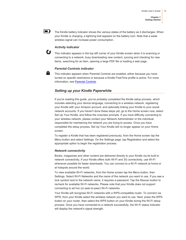<span id="page-11-0"></span> $\blacksquare$ The Kindle battery indicator shows the various states of the battery as it discharges. When your Kindle is charging, a lightning bolt appears on the battery icon. Note that a weak wireless signal can increase power consumption.

## *Activity indicator*

£\$

<span id="page-11-2"></span><span id="page-11-1"></span>А.

This indicator appears in the top left corner of your Kindle screen when it is scanning or connecting to a network, busy downloading new content, syncing and checking for new items, searching for an item, opening a large PDF file or loading a web page.

#### *Parental Controls indicator*

This indicator appears when Parental Controls are enabled, either because you have turned on specific restrictions or because a Kindle FreeTime profile is active. For more information, se[e Parental Controls.](#page-26-2)

### *Setting up your Kindle Paperwhite*

If you're reading this guide, you've probably completed the Kindle setup process, which includes selecting your device language, connecting to a wireless network, registering your Kindle with your Amazon account, and optionally linking your Kindle to your social network accounts. If you haven't done these steps yet, go to the Home screen now, select Set Up Your Kindle, and follow the onscreen prompts. If you have difficulty connecting to your wireless network, please contact your Network Administrator or the individual responsible for maintaining the network you are trying to access. Once you have completed the setup process, Set Up Your Kindle will no longer appear on your Home screen.

To register a Kindle that has been registered previously, from the Home screen tap the Menu button and select Settings. On the Settings page, tap Registration and select the appropriate option to begin the registration process.

#### <span id="page-11-3"></span>*Network connectivity*

Books, magazines and other content are delivered directly to your Kindle via its built-in network connectivity. If your Kindle offers both Wi-Fi and 3G connectivity, use Wi-Fi whenever possible for faster downloads. You can connect to a Wi-Fi network at home or at hotspots around the world.

To view available Wi-Fi networks, from the Home screen tap the Menu button, then Settings. Select Wi-Fi Networks and the name of the network you want to use. If you see a lock symbol next to the network name, it requires a password. Tap the Rescan button to recheck for available Wi-Fi networks. Please note that your Kindle does not support connecting to ad hoc (or peer-to-peer) Wi-Fi networks.

Your Kindle will recognise Wi-Fi networks with a WPS-compatible router. To connect via WPS, from your Kindle select the wireless network you want to use. Next, press the WPS button on your router, then select the WPS button on your Kindle during the Wi-Fi setup process. Once you have connected to a network successfully, the Wi-Fi status indicator will display the network's signal strength.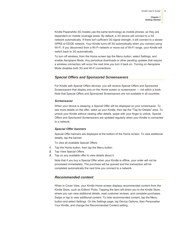Kindle Paperwhite 3G models use the same technology as mobile phones, so they are dependent on mobile coverage areas. By default, a 3G device will connect to a 3G network automatically. If there isn't sufficient 3G signal strength, it will connect to a slower GPRS or EDGE network. Your Kindle turns off 3G automatically when you connect using Wi-Fi. If you disconnect from a Wi-Fi network or move out of Wi-Fi range, your Kindle will switch back to 3G automatically.

To turn off wireless, from the Home screen tap the Menu button, select Settings, and enable Aeroplane Mode. Any periodical downloads or other pending updates that require a wireless connection will occur the next time you turn it back on. Turning on Aeroplane Mode disables both 3G and Wi-Fi connections.

# <span id="page-12-0"></span>*Special Offers and Sponsored Screensavers*

For Kindle with Special Offers devices, you will receive Special Offers and Sponsored Screensavers that display only on the Home screen or screensaver — not within a book. Note that Special Offers and Sponsored Screensavers are not available in all countries.

#### <span id="page-12-1"></span>*Screensaver*

When your device is sleeping, a Special Offer will be displayed on your screensaver. To see more details on the offer, wake up your Kindle, then tap the "Tap for Details" area. To unlock your Kindle without viewing offer details, swipe with your finger to unlock. Special Offers and Sponsored Screensavers are updated regularly when your Kindle is connected to a network.

#### <span id="page-12-2"></span>*Special Offer banners*

Special Offer banners are displayed at the bottom of the Home screen. To view additional details, tap the banner.

To view all available Special Offers:

- *1.* Tap the Home button, then tap the Menu button.
- *2.* Tap View Special Offers.
- <span id="page-12-3"></span>*3.* Tap on any available offer to view details about it.

Note that if you buy a Special Offer when your Kindle is offline, your order will not be processed immediately. The purchase will be queued and the transaction will be completed automatically the next time you connect to a network.

#### *Recommended content*

When in Cover View, your Kindle Home screen displays recommended content from the Kindle Store, such as Editors' Picks. Tapping the item will direct you to the Kindle Store, where you can view additional details, read customer reviews, and complete purchases. Swipe or tap to view additional content. To hide recommended content, tap the Menu button and select Settings. On the Settings page, tap Device Options, then Personalise Your Kindle, and change the Recommended Content setting.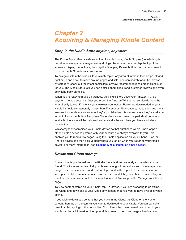*Chapter 2 Acquiring & Managing Kindle Content*

# <span id="page-13-0"></span>*Chapter 2 Acquiring & Managing Kindle Content*

## <span id="page-13-1"></span>*Shop in the Kindle Store anytime, anywhere*

The Kindle Store offers a wide selection of Kindle books, Kindle Singles (novella-length narratives), newspapers, magazines and blogs. To access the store, tap the top of the screen to display the toolbars, then tap the Shopping Basket button. You can also select Shop in Kindle Store from some menus.

To navigate within the Kindle Store, simply tap on any area of interest, then swipe left and right or up and down to move around pages and lists. You can search for a title, browse by category, check out the latest bestsellers, or view recommendations personalised just for you. The Kindle Store lets you see details about titles, read customer reviews and even download book samples.

When you're ready to make a purchase, the Kindle Store uses your Amazon 1-Click payment method securely. After you order, the Amazon Whispernet service delivers the item directly to your Kindle via your wireless connection. Books are downloaded to your Kindle immediately, generally in less than 60 seconds. Newspapers, magazines and blogs are sent to your device as soon as they're published — often even before they're available in print. If your Kindle is in Aeroplane Mode when a new issue of a periodical becomes available, the issue will be delivered automatically the next time you have a wireless connection.

Whispersync synchronises your Kindle device so that purchases within Kindle apps or other Kindle devices registered with your account are always available to you. This enables you to read a few pages using the Kindle application on your iPhone, iPad, or Android device and then pick up right where you left off when you return to your Kindle device. For more information, see [Reading Kindle content on other devices.](#page-28-1)

#### <span id="page-13-2"></span>*Device and Cloud storage*

Content that is purchased from the Kindle Store is stored securely and available in the Cloud. This includes copies of all your books, along with recent issues of newspapers and magazines. To view your Cloud content, tap Cloud in the top left of the Home screen. Your personal documents are also saved in the Cloud if they have been e-mailed to your Kindle and if you have enabled Personal Document Archiving on the Manage Your Kindle page.

To view content stored on your Kindle, tap On Device. If you are preparing to go offline, tap Cloud and download to your Kindle any content that you want to have available when offline.

If you wish to download content that you have in the Cloud, tap Cloud on the Home screen, then tap on the item(s) you want to download to your Kindle. You can cancel a download by tapping on the item's title. Cloud items that have been downloaded to your Kindle display a tick mark on the upper right corner of the cover image when in cover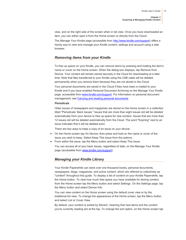view, and on the right side of the screen when in list view. Once you have downloaded an item, you can either open it from the Home screen or directly from the Cloud.

The Manage Your Kindle page (accessible from [http://www.kindle.com/support\)](http://www.kindle.com/support) offers a handy way to view and manage your Kindle content, settings and account using a web browser.

#### <span id="page-14-0"></span>*Removing items from your Kindle*

To free up space on your Kindle, you can remove items by pressing and holding the item's name or cover on the Home screen. When the dialog box displays, tap Remove from Device. Your content will remain stored securely in the Cloud for downloading at a later time. Note that files transferred to your Kindle using the USB cable will be deleted permanently when you remove them because they are not stored in the Cloud.

Your personal documents are saved in the Cloud if they have been e-mailed to your Kindle and if you have enabled Personal Document Archiving on the Manage Your Kindle page, accessible from [www.kindle.com/support.](http://www.kindle.com/support) For information on personal document management, se[e Carrying and reading personal documents.](#page-28-0)

#### *Periodicals*

Older issues of newspapers and magazines are stored on the Home screen in a collection titled "Periodicals: Back Issues." Issues that are more than eight issues old will be deleted automatically from your device to free up space for new content. Issues that are more than 12 issues old will be deleted automatically from the Cloud. The word "Expiring" next to an issue indicates that it will be deleted soon.

There are two ways to keep a copy of an issue on your device:

- On the Home screen tap On Device, then press and hold on the name or cover of the issue you wish to keep. Select Keep This Issue from the options.
- <span id="page-14-1"></span>From within the issue, tap the Menu button and select Keep This Issue.

You can access all of your back issues, regardless of date, on the Manage Your Kindle page (accessible fro[m www.kindle.com/support\)](http://www.kindle.com/support).

## *Managing your Kindle Library*

Your Kindle Paperwhite can store over one thousand books, personal documents, newspapers, blogs, magazines, and active content, which are referred to collectively as "content" throughout this guide. To display a list of content on your Kindle Paperwhite, tap the Home button. To view how much free space you have available for storing content, from the Home screen tap the Menu button and select Settings. On the Settings page, tap the Menu button and select Device Info.

You can view content on the Home screen using the default cover view or by the traditional list view. To change the appearance of the Home screen, tap the Menu button and select List or Cover View.

By default, your content is sorted by Recent, meaning that new items and the content you're currently reading are at the top. To change the sort option, on the Home screen tap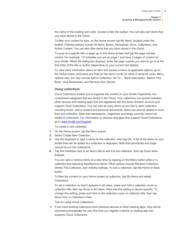*Chapter 2 Acquiring & Managing Kindle Content*

the name of the existing sort order, located under the toolbar. You can also sort items that you have stored in the Cloud.

To filter your content by type, on the Home screen tap My Items, located under the toolbar. Filtering options include All Items, Books, Periodicals, Docs, Collections, and Active Content. You can also filter items that you have stored in the Cloud.

To jump to a specific title or page, go to the Home screen and tap the page number control. For example, 1/2 indicates you are on page 1 and have 2 pages of content on your Kindle. When the dialog box displays, enter the page number you want to go to or the first letter of the title or author (depending on your current sort option).

To view more information about an item and access a menu of applicable options, go to the Home screen and press and hold on the item's cover (or name if using list view). Menu options vary, but may include Add to Collection, Go To..., Book Description, Search This Book, View Bookmarks, and Remove from Device.

#### <span id="page-15-0"></span>*Using collections*

Cloud Collections enable you to organise the content on your Kindle Paperwhite into customised categories that are stored in the Cloud. Your collections are synced between other devices and reading apps that are registered with the same Amazon account and support Cloud Collections. You can add as many items as you like to each collection, including books, active content and personal documents. Items can also be added to more than one collection. Note that newspapers, magazines and blogs currently cannot be added to collections. For information on devices and apps that support Cloud Collections, go t[o www.kindle.com/support.](http://www.kindle.com/support)

To create a new collection:

- *1.* On the Home screen, tap the Menu button.
- *2.* Select Create New Collection.
- *3.* Use the keyboard to type a name for the collection, then tap OK. A list of the items on your Kindle that can be added to a collection is displayed. Note that periodicals and blogs cannot be put into collections.
- *4.* Tap the checkbox next to an item's title to add it to the collection, then tap Done when finished.

You can add or remove items at a later time by tapping on the Menu button when in a collection and selecting Add/Remove Items. Other options include Rename Collection, Delete This Collection, and visibility settings. To exit a collection, tap the Home or Back button.

To filter the content on your Home screen by collection, tap My Items and select Collections.

To set a collection so that it appears in all views, press and hold a collection cover or collection title, then tap Show in All Views. Note that this setting is device-specific. To change this setting, press and hold on the collection cover or collection title, then tap Show Only in Collections View.

Tips for using Cloud Collections:

• If you have existing collections from previous devices or other reading apps, they will be imported automatically the very first time you register a device or reading app that supports Cloud Collections.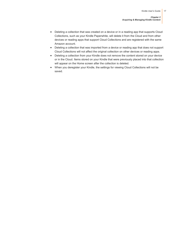- Deleting a collection that was created on a device or in a reading app that supports Cloud Collections, such as your Kindle Paperwhite, will delete it from the Cloud and from other devices or reading apps that support Cloud Collections and are registered with the same Amazon account.
- Deleting a collection that was imported from a device or reading app that does not support Cloud Collections will not affect the original collection on other devices or reading apps.
- Deleting a collection from your Kindle does not remove the content stored on your device or in the Cloud. Items stored on your Kindle that were previously placed into that collection will appear on the Home screen after the collection is deleted.
- When you deregister your Kindle, the settings for viewing Cloud Collections will not be saved.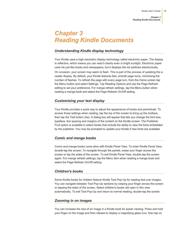*Chapter 3 Reading Kindle Documents*

# <span id="page-17-0"></span>*Chapter 3 Reading Kindle Documents*

## <span id="page-17-1"></span>*Understanding Kindle display technology*

Your Kindle uses a high-resolution display technology called electronic paper. The display is reflective, which means you can read it clearly even in bright sunlight. Electronic paper uses ink just like books and newspapers, but it displays the ink particles electronically.

On occasion, your screen may seem to flash. This is part of the process of updating the ereader display. By default, your Kindle features fast, smooth page turns, minimising the number of flashes. To refresh the page with every page turn, from the Home screen tap the Menu button and select Settings. Tap Reading Options and use the Page Refresh setting to set your preference. For manga refresh settings, tap the Menu button when reading a manga book and select the Page Refresh On/Off setting.

## <span id="page-17-2"></span>*Customising your text display*

Your Kindle provides a quick way to adjust the appearance of books and periodicals. To access those settings when reading, tap the top of the screen to bring up the toolbars, then tap the Text button (Aa). A dialog box will appear that lets you change the font size, typeface, line spacing and margins of the content on the Kindle screen. The Publisher Font option is available in select books that include the ability to view the fonts embedded by the publisher. You may be prompted to update your Kindle if new fonts are available.

## <span id="page-17-3"></span>*Comic and manga books*

Comic and manga books come alive with Kindle Panel View. To enter Kindle Panel View, double-tap the screen. To navigate through the panels, swipe your finger across the screen or tap the sides of the screen. To exit Kindle Panel View, double-tap the screen again. For manga refresh settings, tap the Menu item when reading a manga book and select the Page Refresh On/Off setting.

#### <span id="page-17-4"></span>*Children's books*

Some Kindle books for children feature Kindle Text Pop-Up for reading text over images. You can navigate between Text Pop-Up sections by swiping your finger across the screen or tapping the sides of the screen. Select children's books will open in this view automatically. To exit Text Pop-Up and return to normal reading, double-tap the screen.

#### <span id="page-17-5"></span>*Zooming in on images*

You can increase the size of an image in a Kindle book for easier viewing. Press and hold your finger on the image and then release to display a magnifying glass icon, then tap on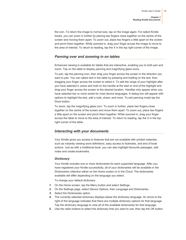the icon. To return the image to normal size, tap on the image again. For select Kindle books, you can zoom in further by placing two fingers close together on the centre of the screen and moving them apart. To zoom out, place two fingers a little apart on the screen and pinch them together. While zoomed in, drag your finger across the image to move to the area of interest. To return to reading, tap the X in the top right corner of the image.

# <span id="page-18-0"></span>*Panning over and zooming in on tables*

Enhanced viewing is available for tables that are interactive, enabling you to both pan and zoom. Tap on the table to display panning and magnifying glass icons.

To pan, tap the panning icon, then drag your finger across the screen in the direction you want to pan. You can select text in the table by pressing and holding on the text, then dragging your finger across the screen to select it. To edit the range of your highlight after you have selected it, press and hold on the handle at the start or end of the highlight and drag your finger across the screen to the desired location. Handles only appear when you have selected two or more words for most device languages. A dialog box will appear with options to highlight the text, add a note, share, and more. To exit panning mode tap the Done button.

To zoom, tap the magnifying glass icon. To zoom in further, place two fingers close together on the centre of the screen and move them apart. To zoom out, place two fingers a little apart on the screen and pinch them together. While zoomed in, drag your finger across the table to move to the area of interest. To return to reading, tap the X in the top right corner of the table..

## <span id="page-18-1"></span>*Interacting with your documents*

Your Kindle gives you access to features that are not available with printed materials, such as instantly viewing word definitions, easy access to footnotes, and end of book actions. Just as with a traditional book, you can also highlight favourite passages, add notes and create bookmarks.

#### <span id="page-18-2"></span>*Dictionary*

Your Kindle includes one or more dictionaries for each supported language. After you have registered your Kindle successfully, all of your dictionaries will be available in the Dictionaries collection either on the Home screen or in the Cloud. The dictionaries available will differ depending on the language you select.

To change your default dictionary:

- *1.* On the Home screen, tap the Menu button and select Settings.
- *2.* On the Settings page, select Device Options, then Language and Dictionaries.
- *3.* Select the Dictionaries option.
- *4.* The currently selected dictionary displays below the dictionary language. An arrow to the right of the language indicates that there are multiple dictionary options for that language. Tap the dictionary language to view all of the available dictionaries for that language.
- *5.* Use the radio buttons to select the dictionary that you want to use, then tap the OK button.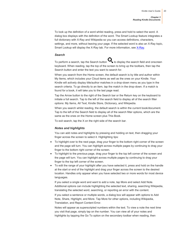*Chapter 3 Reading Kindle Documents*

To look up the definition of a word whilst reading, press and hold to select the word. A dialog box displays with the definition of the word. The Smart Lookup feature integrates a full dictionary with X-Ray and Wikipedia so you can access definitions, characters, settings, and more, without leaving your page. If the selected word is also an X-Ray topic, Smart Lookup will display the X-Ray tab. For more information, se[e X-Ray.](#page-20-3)

#### <span id="page-19-0"></span>*Search*

To perform a search, tap the Search button  $\bigcup$  to display the search field and onscreen keyboard. When reading, tap the top of the screen to bring up the toolbars, then tap the Search button and enter the text you want to search for.

When you search from the Home screen, the default search is by title and author within My Items, which includes your Cloud items as well as the ones on your Kindle. Your Kindle will actively display title/author matches in a drop-down menu as you type in the search criteria. To go directly to an item, tap the match in the drop-down. If a match is found for a book, it will take you to the last page read.

Tap the Arrow button to the right of the Search bar or the Return key on the keyboard to initiate a full search. Tap to the left of the search field to display all of the search filter options: My Items, All Text, Kindle Store, Dictionary, and Wikipedia.

When you search whilst reading, the default search is within the current book/document. Tap to the left of the Search field to display all of the search filter options, which are the same as the ones on the Home screen plus This Book.

To exit search, tap the X on the right side of the search bar.

#### <span id="page-19-1"></span>*Notes and highlights*

You can add notes and highlights by pressing and holding on text, then dragging your finger across the screen to select it. Highlighting tips:

- To highlight over to the next page, drag your finger to the bottom right corner of the screen and the page will turn. You can highlight across multiple pages by continuing to drag your finger to the bottom right corner of the screen.
- To highlight to the previous page, drag your finger to the top left corner of the screen and the page will turn. You can highlight across multiple pages by continuing to drag your finger to the top left corner of the screen.
- To edit the range of your highlight after you have selected it, press and hold on the handle at the start or end of the highlight and drag your finger across the screen to the desired location. Handles only appear when you have selected two or more words for most device languages.

If you select a single word and want to add a note, tap More and select Add Note. Additional options can include highlighting the selected text, sharing, searching Wikipedia, translating the selected word, searching, or reporting an error with the content.

If you select a sentence or multiple words, a dialog box will appear with options to Add Note, Share, Highlight, and More. Tap More for other options, including Wikipedia, Translation, and Report Content Error.

Notes will appear as superscripted numbers within the text. To view a note the next time you visit that page, simply tap on the number. You can view all of your notes and highlights by tapping the Go To option on the secondary toolbar when reading, then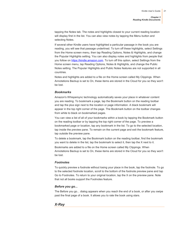tapping the Notes tab. The notes and highlights closest to your current reading location will display first in the list. You can also view notes by tapping the Menu button and selecting Notes.

If several other Kindle users have highlighted a particular passage in the book you are reading, you will see that passage underlined. To turn off these highlights, select Settings from the Home screen menu, then tap Reading Options, Notes & Highlights, and change the Popular Highlights setting. You can also display notes and highlights from people that you follow on [https://kindle.amazon.com.](https://kindle.amazon.com/) To turn off this option, select Settings from the Home screen menu, tap Reading Options, Notes & Highlights, and change the Public Notes setting. The Popular Highlights and Public Notes features are not supported in all countries.

Notes and highlights are added to a file on the Home screen called My Clippings. When Annotations Backup is set to On, these items are stored in the Cloud for you so they won't be lost.

#### <span id="page-20-0"></span>*Bookmarks*

Amazon's Whispersync technology automatically saves your place in whatever content you are reading. To bookmark a page, tap the Bookmark button on the reading toolbar and tap the plus sign next to the location or page information. A black bookmark will appear in the top right corner of the page. The Bookmark button on the toolbar changes from white to black on bookmarked pages.

You can view a list of all of your bookmarks within a book by tapping the Bookmark button on the reading toolbar or by tapping the top right corner of the page. To preview a bookmarked page or location, tap any bookmark in the list. To go to the selected location, tap inside the preview pane. To remain on the current page and exit the bookmark feature, tap outside the preview pane.

To delete a bookmark, tap the Bookmark button on the reading toolbar, find the bookmark you want to delete in the list, tap the bookmark to select it, then tap the X next to it.

Bookmarks are added to a file on the Home screen called My Clippings. When Annotations Backup is set to On, these items are stored in the Cloud for you so they won't be lost.

#### <span id="page-20-1"></span>*Footnotes*

To quickly preview a footnote without losing your place in the book, tap the footnote. To go to the selected footnote location, scroll to the bottom of the footnote preview pane and tap Go to Footnotes. To return to your original location, tap the X on the preview pane. Note that not all books support the Footnotes feature.

#### <span id="page-20-2"></span>*Before you go...*

The Before you go... dialog appears when you reach the end of a book, or after you swipe past the final page of a book. It allows you to rate the book using stars.

## <span id="page-20-3"></span>*X-Ray*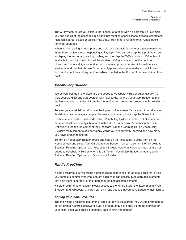The X-Ray feature lets you explore the "bones" of a book with a single tap. For example, you can see all of the passages in a book that mention specific ideas, fictional characters, historical figures, places or topics. Note that X-Ray is not available for all Kindle books, nor in all countries.

When you're reading a book, press and hold on a character's name or a place mentioned in the book to view the corresponding X-Ray topic. You can also tap the top of the screen to display the secondary reading toolbar, and then tap the X-Ray button. If X-Ray is not available for a book, the button will be disabled. X-Ray scans your entire book for characters, historical figures, and terms. It can also provide detailed information from Wikipedia and Shelfari, Amazon's community-powered encyclopaedia for book lovers. To find out if a book has X-Ray, look for X-Ray Enabled in the Kindle Store description of the book.

#### <span id="page-21-0"></span>*Vocabulary Builder*

Words you look up in the dictionary are added to Vocabulary Builder automatically. To view your word list and quiz yourself with flashcards, tap the Vocabulary Builder item on the Home screen, or select it from the menu either on the Home screen or whilst reading a book.

To view your word list, tap Words in the top left of the screen. Tap a specific word to view its definition and a usage example. To view your words by book, tap the Books link.

Each time you tap the Flashcards option, Vocabulary Builder selects a set of words from the current list and displays them as Flashcards. To view a word's definition, tap See Definition in the top left corner of the Flashcard. Tap the Learning link on Vocabulary Builder's main screen to see how many words you are currently learning and how many you have already mastered.

To turn off Vocabulary Builder, press and hold on the Vocabulary Builder item on the Home screen and select Turn Off Vocabulary Builder. You can also turn it off by going to Settings, Reading Options, and Vocabulary Builder. Note that words you look up are not added to Vocabulary Builder when it is off. To turn Vocabulary Builder on again, go to Settings, Reading Options, and Vocabulary Builder.

## <span id="page-21-1"></span>*Kindle FreeTime*

Kindle FreeTime lets you create a personalised experience for up to four children, giving you complete control over what content each child can access. Kids earn achievements that help them keep track of their personal reading accomplishments.

Kindle FreeTime automatically blocks access to the Kindle Store, the Experimental Web Browser, and Wikipedia. Children can only read books that you have added to their library.

#### <span id="page-21-2"></span>*Setting up Kindle FreeTime*

Tap the Kindle FreeTime item on the Home screen to get started. You will be prompted to set a Parental Controls password if you do not already have one. To create a profile for your child, enter your child's first name, date of birth and gender.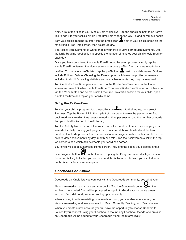*Chapter 3 Reading Kindle Documents*

Next, a list of the titles in your Kindle Library displays. Tap the checkbox next to an item's title to add it to your child's Kindle FreeTime library, then tap OK. To add or remove books

from your child's reading list later, tap the profile icon  $\blacktriangle$  next to your child's name on the main Kindle FreeTime screen, then select Library.

Set Access Achievements to On to enable your child to view earned achievements. Use the Daily Reading Goal option to specify the number of minutes your child should read for each day.

Once you have completed the Kindle FreeTime profile setup process, simply tap the Kindle FreeTime item on the Home screen to access profiles. You can create up to four

profiles. To manage a profile later, tap the profile icon  $\blacktriangle$  next to a child's name. Options include Edit and Delete. Choosing the Delete option will delete the profile permanently, including that child's reading statistics and any achievements they may have earned.

To hide Kindle FreeTime, press and hold on the Kindle FreeTime item on the Home screen and select Disable Kindle FreeTime. To access Kindle FreeTime or turn it back on, tap the Menu button and select Kindle FreeTime. To start a session for your child, open Kindle FreeTime and tap on your child's name.

#### <span id="page-22-0"></span>*Using Kindle FreeTime*

To view your child's progress, tap the profile icon  $\blacktriangle$  next to their name, then select Progress. Tap the Books link in the top left of the screen to view the percentage of each book read, total reading time, average reading time per session and the number of words that your child looked up in the dictionary.

Tap the Activity link in the top left corner to view the number of achievements, progress towards the daily reading goal, pages read, hours read, books finished and the total number of looked-up words. Use the arrows to view progress within the last week. Tap the date to view achievements by day, month and total. Tap the Achievements link in the top left corner to see which achievements your child has earned.

Your child will see a customised Home screen, including the books you selected and a

new Progress button  $\bullet\bullet$  on the toolbar. Tapping the Progress button displays the same Book and Activity links that you can see, and the Achievements link if you elected to turn on the Access Achievements option.

#### <span id="page-22-1"></span>*Goodreads on Kindle*

Goodreads on Kindle lets you connect with the Goodreads community, see what your

friends are reading, and share and rate books. Tap the Goodreads button  $\bigtriangledown$  on the toolbar to get started. You will be prompted to sign in to Goodreads or create a new account if you did not do so when setting up your Kindle.

When you log in with an existing Goodreads account, you are able to see what your friends are reading and see your Want to Read, Currently Reading, and Read shelves.

When you create a new account, you will have the opportunity to choose Readers to Follow. If you connect using your Facebook account, any Facebook friends who are also on Goodreads will be added to your Goodreads friend list automatically.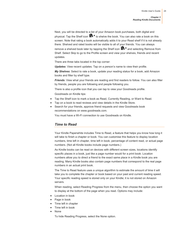Next, you will be directed to a list of your Amazon book purchases, both digital and physical. Tap the Shelf icon  $\mathbb{I} \mathbb{N}$ <sup>\*</sup> to shelve the book. You can also rate a book on this screen. Note that rating a book automatically adds it to your Read shelf if it is not already there. Shelved and rated books will be visible to all of your friends. You can always remove a shelved book later by tapping the Shelf icon  $\mathbf{I} \mathbf{N}^{\mathbf{v}}$  and selecting Remove from Shelf. Select Skip to go to the Profile screen and view your shelves, friends and recent updates.

There are three tabs located in the top corner:

*Updates*: View recent updates. Tap on a person's name to view their profile.

*My Shelves*: Select to rate a book, update your reading status for a book, add Amazon books and filter by shelf type.

*Friends*: View what your friends are reading and find readers to follow. You can also filter by friends, people you are following and people following you.

There is also a profile icon that you can tap to view your Goodreads profile. Goodreads on Kindle tips:

- Tap the Shelf icon to mark a book as Read, Currently Reading, or Want to Read.
- Tap on a book to read reviews and view details in the Kindle Store.
- <span id="page-23-0"></span> Search for your friends, approve friend requests and view Goodreads book recommendations on www.goodreads.com.

You must have a Wi-Fi connection to use Goodreads on Kindle.

#### *Time to Read*

Your Kindle Paperwhite includes Time to Read, a feature that helps you know how long it will take to finish a chapter or book. You can customise this feature to display location numbers, time left in chapter, time left in book, percentage of content read, or actual page numbers. (Not all Kindle books include page numbers.)

As Kindle books can be read on devices with different screen sizes, locations identify specific places in a book, just like a page number would for a print book. Location numbers allow you to direct a friend to the exact same place in a Kindle book you are reading. Many Kindle books also contain page numbers that correspond to the real page numbers in an actual print book.

The Time to Read feature uses a unique algorithm to estimate the amount of time it will take you to complete the chapter or book based on your past and current reading speed. Your specific reading speed is stored only on your Kindle; it is not stored on Amazon servers.

When reading, select Reading Progress from the menu, then choose the option you want to display at the bottom of the page when you read. Options may include:

- Location in book
- Page in book
- Time left in chapter
- Time left in book
- None

To hide Reading Progress, select the None option.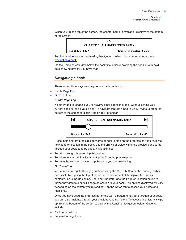When you tap the top of the screen, the chapter name (if available) displays at the bottom of the screen.



Tap the caret to access the Reading Navigation toolbar. For more information, see [Navigating a book.](#page-24-0)

On the Home screen, dots below the book title indicate how long the book is, with bold dots showing how far you have read.

## <span id="page-24-0"></span>*Navigating a book*

There are multiple ways to navigate quickly through a book:

- Kindle Page Flip
- Go To button

#### *Kindle Page Flip*

Kindle Page Flip enables you to preview other pages in a book without leaving your current page or losing your place. To navigate through a book quickly, swipe up from the bottom of the screen to display the Page Flip toolbar.



Press, hold and drag the circle forwards or back, or tap on the progress bar, to preview a new page or location in the book. Use the arrows or swipe within the preview pane to flip through your book page by page. Navigation tips:

- To skim through chapters, tap the arrows.
- To return to your original location, tap the X on the preview pane.
- To go to the selected location, tap the page you are previewing.

#### *Go To button*

You can also navigate through your book using the Go To button on the reading toolbar, accessible by tapping the top of the screen. The Contents tab displays the book's contents, including Beginning, End, and Chapters. Use the Page or Location option to further navigate to a specific page or location in your book. The options displayed will vary depending on the content you're reading. Tap the Notes tab to access your notes and highlights.

Once you have used the progress bar or the Go To button to navigate through your book, you can also navigate through your previous reading history. To access this history, swipe up from the bottom of the screen to display the Reading Navigation toolbar. Options include:

- Back to page/loc x
- Forward to page/loc x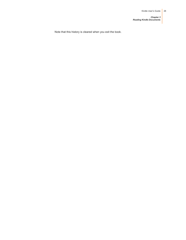*Chapter 3 Reading Kindle Documents*

Note that this history is cleared when you exit the book.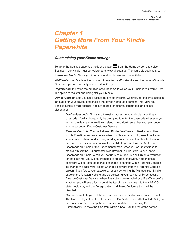*Chapter 4 Getting More From Your Kindle Paperwhite*

# <span id="page-26-0"></span>*Chapter 4 Getting More From Your Kindle Paperwhite*

#### <span id="page-26-1"></span>*Customising your Kindle settings*

To go to the Settings page, tap the Menu button  $\blacksquare$  from the Home screen and select Settings. Your Kindle must be registered to view all settings. The available settings are:

*Aeroplane Mode*: Allows you to enable or disable wireless connectivity.

*Wi-Fi Networks*: Displays the number of detected Wi-Fi networks and the name of the Wi-Fi network you are currently connected to, if any.

*Registration*: Indicates the Amazon account name to which your Kindle is registered. Use this option to register and deregister your Kindle.

*Device Options*: Lets you set a passcode, enable Parental Controls, set the time, select a language for your device, personalise the device name, add personal info, view your Send-to-Kindle e-mail address, add keyboards for different languages, and select dictionaries.

> *Device Passcode*: Allows you to restrict access to your Kindle by setting a passcode. You'll subsequently be prompted to enter the passcode whenever you turn on the device or wake it from sleep. If you don't remember your passcode, you must contact Kindle Customer Service.

> <span id="page-26-2"></span>*Parental Controls*: Choose between Kindle FreeTime and Restrictions. Use Kindle FreeTime to create personalised profiles for your child, select books from your library to share, and set daily reading goals whilst automatically blocking access to places you may not want your child to go, such as the Kindle Store, Goodreads on Kindle or the Experimental Web Browser. Use Restrictions to manually block the Experimental Web Browser, Kindle Store, Cloud, and/or Goodreads on Kindle. When you set up Kindle FreeTime or turn on a restriction for the first time, you will be prompted to create a password. Note that this password will be required to make changes to settings within Parental Controls. To change the password, select Change Password from the Parental Controls screen. If you forget your password, reset it by visiting the Manage Your Kindle page on the Amazon website and deregistering your device, or by contacting Amazon Customer Service. When Restrictions are enabled or a FreeTime profile is active, you will see a lock icon at the top of the screen next to the Wi-Fi/3G status indicator, and the Deregistration and Reset Device settings will be disabled.

> **Device Time**: Lets you set the current local time to be displayed on your Kindle. The time displays at the top of the screen. On Kindle models that include 3G, you can have your Kindle keep the current time updated by choosing Set Automatically. To view the time from within a book, tap the top of the screen.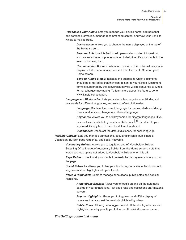*Personalise your Kindle*: Lets you manage your device name, add personal and contact information, manage recommended content and view your Send-to-Kindle E-mail address.

> *Device Name*: Allows you to change the name displayed at the top of the Home screen.

*Personal Info*: Use this field to add personal or contact information, such as an address or phone number, to help identify your Kindle in the event of its being lost.

*Recommended Content*: When in cover view, this option allows you to display or hide recommended content from the Kindle Store on your Home screen.

*Send-to-Kindle E-mail*: Indicates the address to which documents should be e-mailed so that they can be sent to your Kindle. Document formats supported by the conversion service will be converted to Kindle format (charges may apply). To learn more about this feature, go to www.kindle.com/support.

*Language and Dictionaries*: Lets you select a language for your Kindle, add keyboards for different languages, and select default dictionaries.

> *Language*: Displays the current language for menus, alerts and dialog boxes, and lets you change to a different language.

*Keyboards*: Allows you to add keyboards for different languages. If you

have selected multiple keyboards, a Globe key  $\bigcup_{i=1}^{\infty}$  is added to your keyboard. Simply tap it to select a different keyboard.

*Dictionaries*: Use to set the default dictionary for each language.

*Reading Options*: Lets you manage annotations, popular highlights, public notes, Vocabulary Builder, page refreshes, and social networks.

> *Vocabulary Builder*: Allows you to toggle on and off Vocabulary Builder. Selecting Off will remove Vocabulary Builder from the Home screen. Note that words you look up are not added to Vocabulary Builder when it is off.

**Page Refresh:** Use to set your Kindle to refresh the display every time you turn the page.

*Social Networks*: Allows you to link your Kindle to your social network accounts so you can share highlights with your friends.

*Notes & Highlights*: Select to manage annotations, public notes and popular highlights.

> *Annotations Backup*: Allows you to toggle on and off the automatic backup of your annotations, last page read and collections on Amazon's servers.

*Popular Highlights*: Allows you to toggle on and off the display of passages that are most frequently highlighted by others.

*Public Notes*: Allows you to toggle on and off the display of notes and highlights made by people you follow on https://kindle.amazon.com.

#### <span id="page-27-0"></span>*The Settings contextual menu*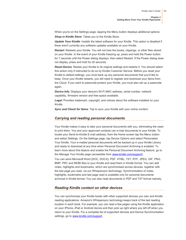When you're on the Settings page, tapping the Menu button displays additional options:

*Shop in Kindle Store*: Takes you to the Kindle Store.

*Update Your Kindle*: Installs the latest software for your Kindle. This option is disabled if there aren't currently any software updates available on your Kindle.

*Restart*: Restarts your Kindle. You will not lose the books, clippings, or other files stored on your Kindle. In the event of your Kindle freezing up, press and hold the Power button for 7 seconds until the Power dialog displays, then select Restart. If the Power dialog does not display, press and hold for 20 seconds.

**Reset Device:** Resets your Kindle to its original settings and restarts it. You should select this action only if instructed to do so by Kindle Customer Service. Before you reset your Kindle to default settings, you must back up any personal documents that you'd like to keep. Once your Kindle restarts, you will need to register and download your items from the Cloud. If you want to passcode-protect your Kindle, you must also set up a passcode again.

*Device Info*: Displays your device's Wi-Fi MAC address, serial number, network capability, firmware version and free space available.

*Legal*: Provides trademark, copyright, and notices about the software installed on your Kindle.

<span id="page-28-0"></span>*Sync and Check for Items*: Tap to sync your Kindle with your online content.

#### *Carrying and reading personal documents*

Your Kindle makes it easy to take your personal documents with you, eliminating the need to print them. You and your approved contacts can e-mail documents to your Kindle. To locate your Send-to-Kindle E-mail address, from the Home screen tap the Menu button and select Settings. On the Settings page, tap Device Options and select Personalise Your Kindle. Your e-mailed personal documents will be backed up in your Kindle Library and ready to download at any time when Personal Document Archiving is enabled. To learn more about this feature and enable the Personal Document Archiving feature, go to the Manage Your Kindle page (accessible from [www.kindle.com/support\)](http://www.kindle.com/support).

You can send Microsoft Word (DOC, DOCX), PDF, HTML, TXT, RTF, JPEG, GIF, PNG, BMP, PRC and MOBI files to your Kindle and read them in Kindle format. You can add notes, highlights and bookmarks, which are synchronised across devices, together with the last page you read, via our Whispersync technology. Synchronisation of notes, highlights, bookmarks and last page read is available only for personal documents archived in Kindle format. You can also read documents in PDF and TXT format natively.

#### <span id="page-28-1"></span>*Reading Kindle content on other devices*

You can synchronise your Kindle books with other supported devices you own and Kindle reading applications. Amazon's Whispersync technology keeps track of the last reading location in each book. For example, you can read a few pages using the Kindle application on your iPhone, iPad or Android device and then pick up right where you left off when you return to your Kindle. For a complete list of supported devices and Device Synchronisation settings, go t[o www.kindle.com/support.](http://www.kindle.com/support)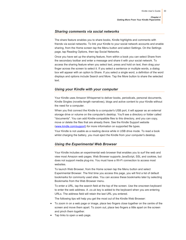*Chapter 4 Getting More From Your Kindle Paperwhite*

#### <span id="page-29-0"></span>*Sharing comments via social networks*

The share feature enables you to share books, Kindle highlights and comments with friends via social networks. To link your Kindle to your social network accounts and enable sharing, from the Home screen tap the Menu button and select Settings. On the Settings page, tap Reading Options, then tap Social Networks.

Once you have set up the sharing feature, from within a book you can select Share from the secondary toolbar and enter a message and share it with your social network. To access the sharing feature when you select text, press and hold on text, then drag your finger across the screen to select it. If you select a sentence or multiple words, a dialog box will appear with an option to Share. If you select a single word, a definition of the word displays and options include Search and More. Tap the More button to share the selected text.

## <span id="page-29-1"></span>*Using your Kindle with your computer*

Your Kindle uses Amazon Whispernet to deliver books, periodicals, personal documents, Kindle Singles (novella-length narratives), blogs and active content to your Kindle without the need for a computer.

When you first connect the Kindle to a computer's USB port, it will appear as an external storage drive or volume on the computer's desktop. You'll see a directory or folder called "documents". You can add Kindle-compatible files to this directory, and you can copy, move or delete the files that are already there. See the Kindle Support website [\(www.kindle.com/support\)](http://www.kindle.com/support) for more information on supported file types.

Your Kindle is not usable as a reading device while in USB drive mode. To read a book whilst charging the battery, you must eject the Kindle from your computer's desktop.

#### <span id="page-29-2"></span>*Using the Experimental Web Browser*

Your Kindle includes an experimental web browser that enables you to surf the web and view most Amazon web pages. Web Browser supports JavaScript, SSL and cookies, but does not support media plug-ins. You must have a Wi-Fi connection to access most websites.

To launch Web Browser, from the Home screen tap the Menu button and select Experimental Browser. The first time you access this page, you will find a list of default bookmarks for commonly used sites. You can access these bookmarks later by selecting Bookmarks from the Web Browser menu.

To enter a URL, tap the search field at the top of the screen. Use the onscreen keyboard to enter the web address. A .co.uk key is added to the keyboard when you are entering URLs. The address field will retain the last URL you entered.

The following tips will help you get the most out of the Kindle Web Browser:

- To zoom in on a web page or image, place two fingers close together on the centre of the screen and move them apart. To zoom out, place two fingers a little apart on the screen and pinch them together.
- Tap links to open a web page.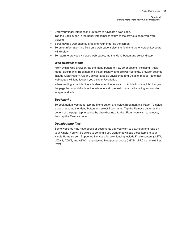*Chapter 4 Getting More From Your Kindle Paperwhite*

- Drag your finger left/right and up/down to navigate a web page.
- Tap the Back button in the upper left corner to return to the previous page you were viewing.
- Scroll down a web page by dragging your finger up the screen.
- To enter information in a field on a web page, select the field and the onscreen keyboard will display.
- <span id="page-30-0"></span>To return to previously viewed web pages, tap the Menu button and select History.

#### *Web Browser Menu*

From within Web Browser, tap the Menu button to view other options, including Article Mode, Bookmarks, Bookmark this Page, History, and Browser Settings. Browser Settings include Clear History, Clear Cookies, Disable JavaScript, and Disable Images. Note that web pages will load faster if you disable JavaScript.

When reading an article, there is also an option to switch to Article Mode which changes the page layout and displays the article in a simple text column, eliminating surrounding images and ads.

#### <span id="page-30-1"></span>*Bookmarks*

To bookmark a web page, tap the Menu button and select Bookmark this Page. To delete a bookmark, tap the Menu button and select Bookmarks. Tap the Remove button at the bottom of the page, tap to select the checkbox next to the URL(s) you want to remove, then tap the Remove button.

#### <span id="page-30-2"></span>*Downloading files*

Some websites may have books or documents that you want to download and read on your Kindle. You will be asked to confirm if you want to download these items to your Kindle Home screen. Supported file types for downloading include Kindle content (.AZW, .AZW1, AZW2, and AZW3), unprotected Mobipocket books (.MOBI, .PRC), and text files (.TXT).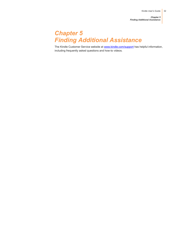*Chapter 5 Finding Additional Assistance*

# <span id="page-31-0"></span>*Chapter 5 Finding Additional Assistance*

The Kindle Customer Service website at **www.kindle.com/support** has helpful information, including frequently asked questions and how-to videos.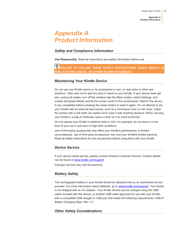*Appendix A Product Information*

# <span id="page-32-0"></span>*Appendix A Product Information*

# <span id="page-32-1"></span>*Safety and Compliance Information*

*Use Responsibly.* Read all instructions and safety information before use.

# **FAILURE TO FOLLOW THESE SAFETY INSTRUCTIONS COULD RESULT IN** *FIRE, ELECTRIC SHOCK, OR OTHER INJURY OR DAMAGE.*

# <span id="page-32-2"></span>*Maintaining Your Kindle Device*

Do not use your Kindle device or its accessories in rain, or near sinks or other wet locations. Take care not to spill any food or liquid on your Kindle. If your device does get wet, unplug all cables, turn off the wireless (tap the Menu button, select Settings, and enable Aeroplane Mode) and let the screen revert to the screensaver. Wait for the device to dry completely before pressing the power button to wake it again. Do not attempt to dry your Kindle with an external heat source, such as a microwave oven or hair dryer. Clean the screen with a soft cloth; be careful not to wipe it with anything abrasive. When carrying your Kindle in a bag or briefcase, keep a cover on it to avoid scratches.

Do not expose your Kindle to extreme heat or cold. For example, do not leave it in the boot of your car in sub-zero or high-heat conditions.

Use of third-party accessories may affect your Kindle's performance. In limited circumstances, use of third-party accessories may void your Kindle's limited warranty. Read all safety instructions for any accessories before using them with your Kindle.

# <span id="page-32-3"></span>*Device Service*

If your device needs service, please contact Amazon Customer Service. Contact details can be found a[t www.kindle.com/support](http://www.kindle.com/support)

<span id="page-32-4"></span>Improper service may void the warranty.

# *Battery Safety*

The rechargeable battery in your Kindle should be replaced only by an authorised service provider. For more information about batteries, go t[o www.kindle.com/support.](http://www.kindle.com/support) Your Kindle is not shipped with an AC adaptor. Your Kindle should only be charged using the USB cable included with the device, or another USB cable approved for use with your Kindle, with a compatible USB charger or USB port that meets the following requirements: USB-IF Battery Charging Spec, Rev 1.2.

# <span id="page-32-5"></span>*Other Safety Considerations*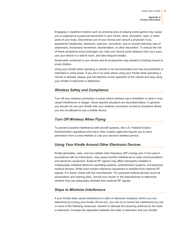*Appendix A Product Information*

Engaging in repetitive motions such as pressing keys or playing some games may cause you to experience occasional discomfort in your hands, arms, shoulders, neck, or other parts of your body. Discontinue use of your device and consult a physician if you experience headaches, blackouts, seizures, convulsion, eye or muscle twitching, loss of awareness, involuntary movement, disorientation, or other discomfort. To reduce the risk of these symptoms avoid prolonged use, hold your device some distance from your eyes, use your device in a well-lit room, and take frequent breaks.

Small parts contained in your device and its accessories may present a choking hazard to small children.

Using your Kindle while operating a vehicle is not recommended and may be prohibited or restricted in some areas. If you are in an area where using your Kindle while operating a vehicle is allowed, always give full attention to the operation of the vehicle and stop using your Kindle if it becomes a distraction.

#### <span id="page-33-0"></span>*Wireless Safety and Compliance*

Turn off your wireless connection in areas where wireless use is forbidden or when it may cause interference or danger. Some specific situations are described below. In general, you should not use your Kindle with your wireless connection turned on anywhere where you are not allowed to use a mobile device.

#### <span id="page-33-1"></span>*Turn Off Wireless When Flying*

To prevent possible interference with aircraft systems, the U.S. Federal Aviation Administration regulations and many other aviation agencies require you to have permission from a crew member to use your device's wireless service.

#### <span id="page-33-2"></span>*Using Your Kindle Around Other Electronic Devices*

Kindle generates, uses, and can radiate radio frequency (RF) energy and, if not used in accordance with its instructions, may cause harmful interference to radio communications and electronic equipment. External RF signals may affect improperly installed or inadequately shielded electronic operating systems, entertainment systems, and personal medical devices. While most modern electronic equipment is shielded from external RF signals, if in doubt, check with the manufacturer. For personal medical devices (such as pacemakers and hearing aids), consult your doctor or the manufacturer to determine whether they are adequately shielded from external RF signals.

#### <span id="page-33-3"></span>*Steps to Minimise Interference*

If your Kindle does cause interference to radio or television reception (which you can determine by turning your Kindle off and on), you can try to correct the interference by one or more of the following measures: reorient or relocate the receiving antenna for the radio or television; increase the separation between the radio or television and your Kindle;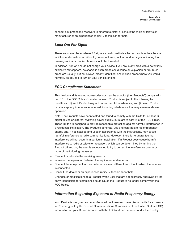connect equipment and receivers to different outlets; or consult the radio or television manufacturer or an experienced radio/TV technician for help.

# <span id="page-34-0"></span>*Look Out For Signs*

There are some places where RF signals could constitute a hazard, such as health-care facilities and construction sites. If you are not sure, look around for signs indicating that two-way radios or mobile phones should be turned off.

In addition, turn off and do not charge your device if you are in any area with a potentially explosive atmosphere, as sparks in such areas could cause an explosion or fire. Such areas are usually, but not always, clearly identified, and include areas where you would normally be advised to turn off your vehicle engine.

# <span id="page-34-1"></span>*FCC Compliance Statement*

This device and its related accessories such as the adaptor (the "Products") comply with part 15 of the FCC Rules. Operation of each Product is subject to the following two conditions: (1) each Product may not cause harmful interference, and (2) each Product must accept any interference received, including interference that may cause undesired operation.

Note: The Products have been tested and found to comply with the limits for a Class B digital device or external switching power supply, pursuant to part 15 of the FCC Rules. These limits are designed to provide reasonable protection against harmful interference in a residential installation. The Products generate, use and can radiate radio frequency energy and, if not installed and used in accordance with the instructions, may cause harmful interference to radio communications. However, there is no guarantee that interference will not occur in a particular installation. If a Product does cause harmful interference to radio or television reception, which can be determined by turning the Product off and on, the user is encouraged to try to correct the interference by one or more of the following measures:

- Reorient or relocate the receiving antenna.
- Increase the separation between the equipment and receiver.
- Connect the equipment into an outlet on a circuit different from that to which the receiver is connected.
- <span id="page-34-2"></span>Consult the dealer or an experienced radio/TV technician for help.

Changes or modifications to a Product by the user that are not expressly approved by the party responsible for compliance could cause the Product to no longer comply with the FCC Rules.

# *Information Regarding Exposure to Radio Frequency Energy*

Your Device is designed and manufactured not to exceed the emission limits for exposure to RF energy set by the Federal Communications Commission of the United States (FCC). Information on your Device is on file with the FCC and can be found under the Display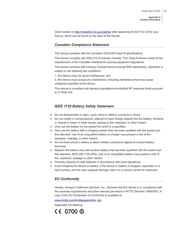Grant section of<http://transition.fcc.gov/oet/ea/> after searching for the FCC ID for your Device, which can be found on the back of the Device.

#### <span id="page-35-0"></span>*Canadian Compliance Statement*

This device complies with the Canadian ICES-003 Class B specifications.

This device complies with RSS 210 of Industry Canada. This Class B device meets all the requirements of the Canadian interference-causing equipment regulations.

This device complies with Industry Canada licence-exempt RSS standard(s). Operation is subject to the following two conditions:

1. this device may not cause interference; and

2. this device must accept any interference, including interference that may cause undesired operation of the device.

This device is compliant with general population/uncontrolled RF exposure limits pursuant to IC RSS-102.

#### *IEEE 1725 Battery Safety Statement*

- <span id="page-35-1"></span>Do not disassemble or open, crush, bend or deform, puncture or shred.
- Do not modify or remanufacture, attempt to insert foreign objects into the battery, immerse or expose to water or other liquids, expose to fire, explosion or other hazard.
- Only use the battery for the system for which it is specified.
- Only use the battery with a charging system that has been qualified with the system per this standard. Use of an unqualified battery or charger may present a risk of fire, explosion, leakage, or other hazard.
- Do not short-circuit a battery or allow metallic conductive objects to contact battery terminals.
- Replace the battery only with another battery that has been qualified with the system per this standard, IEEE-Std-1725-200x. Use of an unqualified battery may present a risk of fire, explosion, leakage or other hazard.
- Promptly dispose of used batteries in accordance with local regulations.
- <span id="page-35-2"></span>• Avoid dropping the device or battery. If the device or battery is dropped, especially on a hard surface, and the user suspects damage, take it to a service centre for inspection.

#### *EU Conformity*

Hereby, Amazon Fulfillment Services, Inc., declares that this device is in compliance with the essential requirements and other relevant provisions of RTTE Directive 1999/5/EC. A copy of the EU Declaration of Conformity is available at:

[www.kindle.com/kindlepaperwhite\\_doc](http://www.kindle.com/kindlepaperwhite_doc)

Applicable CE Marking:

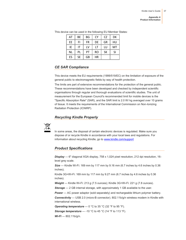| AT        | BE        | BG | <b>CY</b> | CZ        | DK |
|-----------|-----------|----|-----------|-----------|----|
| EE        | FI        | FR | DE        | GR        | HU |
| ΙE        | IT        | LV | LT        | LU        | MT |
| <b>NL</b> | PL        | PT | <b>RO</b> | <b>SK</b> | SI |
| ES        | <b>SE</b> | GB | ΗR        |           |    |

This device can be used in the following EU Member States:

# <span id="page-36-0"></span>*CE SAR Compliance*

This device meets the EU requirements (1999/519/EC) on the limitation of exposure of the general public to electromagnetic fields by way of health protection.

The limits are part of extensive recommendations for the protection of the general public. These recommendations have been developed and checked by independent scientific organisations through regular and thorough evaluations of scientific studies. The unit of measurement for the European Council's recommended limit for mobile devices is the "Specific Absorption Rate" (SAR), and the SAR limit is 2.0 W/ kg averaged over 10 grams of tissue. It meets the requirements of the International Commission on Non-Ionizing Radiation Protection (ICNIRP).

# *Recycling Kindle Properly*

<span id="page-36-2"></span><span id="page-36-1"></span>

In some areas, the disposal of certain electronic devices is regulated. Make sure you dispose of or recycle Kindle in accordance with your local laws and regulations. For information about recycling Kindle, go t[o www.kindle.com/support](http://www.kindle.com/support)

# *Product Specifications*

*Display* — 6" diagonal XGA display, 758 x 1,024 pixel resolution, 212 dpi resolution, 16 level grey scale.

*Size* — Kindle Wi-Fi: 169 mm by 117 mm by 9.16 mm (6.7 inches by 4.6 inches by 0.36 inches);

Kindle 3G+Wi-Fi: 169 mm by 117 mm by 9.27 mm (6.7 inches by 4.6 inches by 0.36 inches).

*Weight* — Kindle Wi-Fi: 213 g (7.5 ounces); Kindle 3G+Wi-Fi: 221 g (7.8 ounces).

**Storage** – 2 GB internal storage, with approximately 1 GB available to the user.

**Power** — AC power adaptor (sold separately) and rechargeable lithium polymer battery.

*Connectivity* — USB 2.0 (micro-B connector). 802.11b/g/n wireless modem in Kindle with international wireless.

**Operating temperature** — 0 °C to 35 °C (32 °F to 95 °F).

**Storage temperature** — -10 °C to 45 °C (14 °F to 113 °F).

*Wi-Fi* — 802.11b/g/n.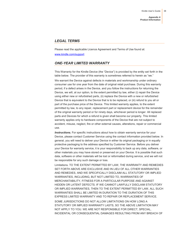### <span id="page-37-0"></span>*LEGAL TERMS*

Please read the applicable Licence Agreement and Terms of Use found at: [www.kindle.com/support](http://www.kindle.com/support)

# <span id="page-37-1"></span>*ONE-YEAR LIMITED WARRANTY*

This Warranty for the Kindle Device (the "Device") is provided by the entity set forth in the table below. The provider of this warranty is sometimes referred to herein as "we."

We warrant the Device against defects in materials and workmanship under ordinary consumer use for one year from the date of original retail purchase. During this warranty period, if a defect arises in the Device, and you follow the instructions for returning the Device, we will, at our option, to the extent permitted by law, either (i) repair the Device using either new or refurbished parts, (ii) replace the Device with a new or refurbished Device that is equivalent to the Device that is to be replaced, or (iii) refund to you all or part of the purchase price of the Device. This limited warranty applies, to the extent permitted by law, to any repair, replacement part or replacement device for the remainder of the original warranty period or for ninety days, whichever period is longer. All replaced parts and Devices for which a refund is given shall become our property. This limited warranty applies only to hardware components of the Device that are not subject to accident, misuse, neglect, fire or other external causes, alterations, repair or commercial use.

**Instructions.** For specific instructions about how to obtain warranty service for your Device, please contact Customer Service using the contact information provided below. In general, you will need to deliver your Device in either its original packaging or in equally protective packaging to the address specified by Customer Service. Before you deliver your Device for warranty service, it is your responsibility to back up any data, software, or other materials you may have stored or preserved on your Device. It is possible that such data, software or other materials will be lost or reformatted during service, and we will not be responsible for any such damage or loss.

Limitations. TO THE EXTENT PERMITTED BY LAW, THE WARRANTY AND REMEDIES SET FORTH ABOVE ARE EXCLUSIVE AND IN LIEU OF ALL OTHER WARRANTIES AND REMEDIES, AND WE SPECIFICALLY DISCLAIM ALL STATUTORY OR IMPLIED WARRANTIES, INCLUDING, BUT NOT LIMITED TO, WARRANTIES OF MERCHANTABILITY, FITNESS FOR A PARTICULAR PURPOSE AND AGAINST HIDDEN OR LATENT DEFECTS. IF WE CANNOT LAWFULLY DISCLAIM STATUTORY OR IMPLIED WARRANTIES, THEN TO THE EXTENT PERMITTED BY LAW, ALL SUCH WARRANTIES SHALL BE LIMITED IN DURATION TO THE DURATION OF THIS EXPRESS LIMITED WARRANTY AND TO REPAIR OR REPLACEMENT SERVICE.

SOME JURISDICTIONS DO NOT ALLOW LIMITATIONS ON HOW LONG A STATUTORY OR IMPLIED WARRANTY LASTS, SO THE ABOVE LIMITATION MAY NOT APPLY TO YOU. WE ARE NOT RESPONSIBLE FOR DIRECT, SPECIAL, INCIDENTAL OR CONSEQUENTIAL DAMAGES RESULTING FROM ANY BREACH OF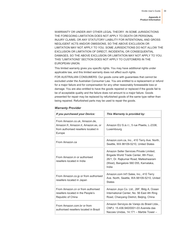WARRANTY OR UNDER ANY OTHER LEGAL THEORY. IN SOME JURISDICTIONS THE FOREGOING LIMITATION DOES NOT APPLY TO DEATH OR PERSONAL INJURY CLAIMS, OR ANY STATUTORY LIABILITY FOR INTENTIONAL AND GROSS NEGLIGENT ACTS AND/OR OMISSIONS, SO THE ABOVE EXCLUSION OR LIMITATION MAY NOT APPLY TO YOU. SOME JURISDICTIONS DO NOT ALLOW THE EXCLUSION OR LIMITATION OF DIRECT, INCIDENTAL OR CONSEQUENTIAL DAMAGES, SO THE ABOVE EXCLUSION OR LIMITATION MAY NOT APPLY TO YOU. THIS "LIMITATIONS" SECTION DOES NOT APPLY TO CUSTOMERS IN THE EUROPEAN UNION.

This limited warranty gives you specific rights. You may have additional rights under applicable law, and this limited warranty does not affect such rights.

FOR AUSTRALIAN CONSUMERS: Our goods come with guarantees that cannot be excluded under the Australian Consumer Law. You are entitled to a replacement or refund for a major failure and for compensation for any other reasonably foreseeable loss or damage. You are also entitled to have the goods repaired or replaced if the goods fail to be of acceptable quality and the failure does not amount to a major failure. Goods presented for repair may be replaced by refurbished goods of the same type rather than being repaired. Refurbished parts may be used to repair the goods.

| If you purchased your Device:                                                                                          | This Warranty is provided by:                                                                                                                                                |
|------------------------------------------------------------------------------------------------------------------------|------------------------------------------------------------------------------------------------------------------------------------------------------------------------------|
| From Amazon.co.uk, Amazon.de,<br>Amazon.fr, Amazon.it, Amazon.es, or<br>from authorised resellers located in<br>Europe | Amazon EU S.à.r.l., 5 rue Plaetis, L-2338,<br>Luxembourg                                                                                                                     |
| From Amazon.ca                                                                                                         | Amazon.com.ca, Inc., 410 Terry Ave. North,<br>Seattle, WA 98109-5210, United States                                                                                          |
| From Amazon.in or authorised<br>resellers located in India                                                             | Amazon Seller Services Private Limited.<br>Brigade World Trade Center, 8th Floor,<br>26/1, Dr. Rajkumar Road, Malleshwaram<br>(West), Bangalore 560 055, Karnataka,<br>India |
| From Amazon.co.jp or from authorised<br>resellers located in Japan                                                     | Amazon.com Int'l Sales, Inc., 410 Terry<br>Ave. North, Seattle, WA 98109-5210, United<br><b>States</b>                                                                       |
| From Amazon.cn or from authorised<br>resellers located in the People's<br>Republic of China                            | Amazon Joyo Co. Ltd., 26F, Bldg A, Ocean<br>International Center, No. 56 East 4th Ring<br>Road, Chaoyang District, Beijing, China                                            |
| From Amazon.com.br or from<br>authorised resellers located in Brazil                                                   | Amazon Serviços de Varejo do Brasil Ltda.,<br>CNPJ: 15.436.940/0001-03 Avenida das<br>Nacoes Unidas, 14.171 - Marble Tower -                                                 |

#### <span id="page-38-0"></span>*Warranty Provider*